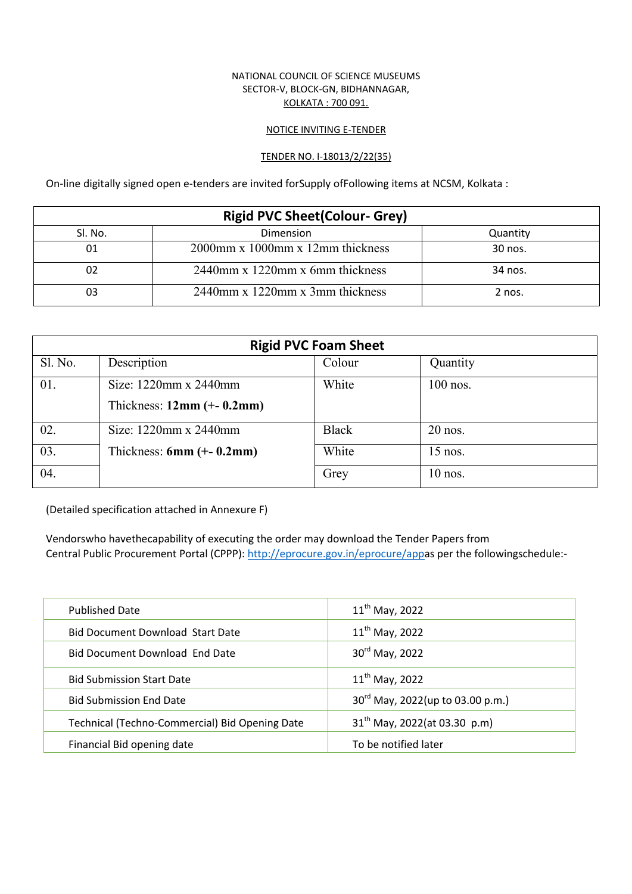## NATIONAL COUNCIL OF SCIENCE MUSEUMS SECTOR-V, BLOCK-GN, BIDHANNAGAR, KOLKATA : 700 091.

#### NOTICE INVITING E-TENDER

#### TENDER NO. I-18013/2/22(35)

On-line digitally signed open e-tenders are invited forSupply ofFollowing items at NCSM, Kolkata :

| <b>Rigid PVC Sheet (Colour- Grey)</b> |                                           |          |  |  |
|---------------------------------------|-------------------------------------------|----------|--|--|
| Sl. No.                               | Dimension                                 | Quantity |  |  |
| 01                                    | $2000$ mm x $1000$ mm x $12$ mm thickness | 30 nos.  |  |  |
|                                       | $2440$ mm x 1220mm x 6mm thickness        | 34 nos.  |  |  |
|                                       | 2440mm x 1220mm x 3mm thickness           | 2 nos.   |  |  |

| <b>Rigid PVC Foam Sheet</b> |                             |              |            |  |
|-----------------------------|-----------------------------|--------------|------------|--|
| Sl. No.                     | Description                 | Colour       | Quantity   |  |
| 01.                         | Size: 1220mm x 2440mm       | White        | $100$ nos. |  |
|                             | Thickness: $12mm (+ 0.2mm)$ |              |            |  |
| 02.                         | Size: 1220mm x 2440mm       | <b>Black</b> | $20$ nos.  |  |
| 03.                         | Thickness: $6mm (+ 0.2mm)$  | White        | $15$ nos.  |  |
| 04.                         |                             | Grey         | $10$ nos.  |  |

(Detailed specification attached in Annexure F)

Vendorswho havethecapability of executing the order may download the Tender Papers from Central Public Procurement Portal (CPPP): http://eprocure.gov.in/eprocure/appas per the followingschedule:-

| <b>Published Date</b>                          | $11^{th}$ May, 2022              |
|------------------------------------------------|----------------------------------|
| <b>Bid Document Download Start Date</b>        | $11^{th}$ May, 2022              |
| <b>Bid Document Download End Date</b>          | 30rd May, 2022                   |
| <b>Bid Submission Start Date</b>               | $11^{th}$ May, 2022              |
| <b>Bid Submission End Date</b>                 | 30rd May, 2022(up to 03.00 p.m.) |
| Technical (Techno-Commercial) Bid Opening Date | $31th$ May, 2022(at 03.30 p.m)   |
| Financial Bid opening date                     | To be notified later             |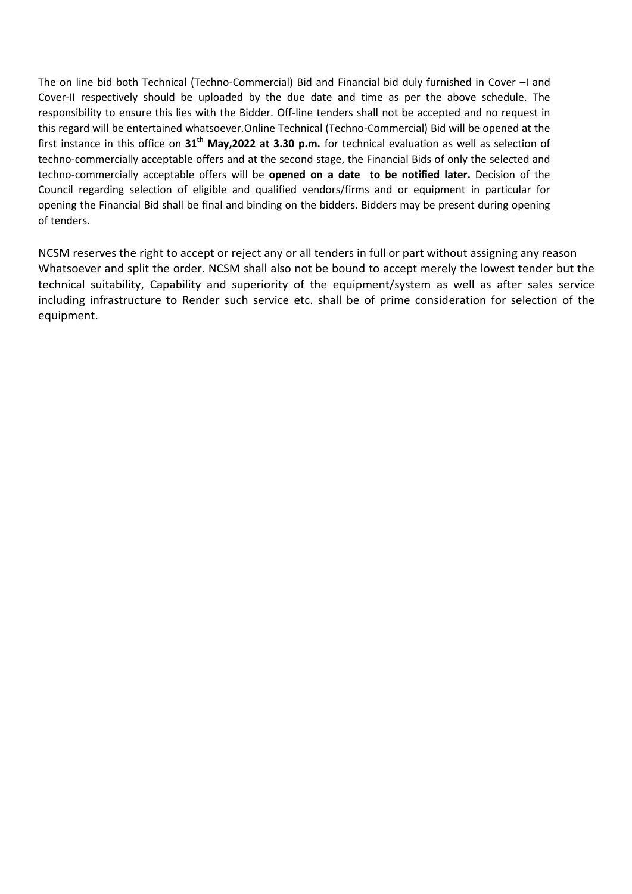The on line bid both Technical (Techno-Commercial) Bid and Financial bid duly furnished in Cover –I and Cover-II respectively should be uploaded by the due date and time as per the above schedule. The responsibility to ensure this lies with the Bidder. Off-line tenders shall not be accepted and no request in this regard will be entertained whatsoever.Online Technical (Techno-Commercial) Bid will be opened at the first instance in this office on 31<sup>th</sup> May,2022 at 3.30 p.m. for technical evaluation as well as selection of techno-commercially acceptable offers and at the second stage, the Financial Bids of only the selected and techno-commercially acceptable offers will be **opened on a date to be notified later.** Decision of the Council regarding selection of eligible and qualified vendors/firms and or equipment in particular for opening the Financial Bid shall be final and binding on the bidders. Bidders may be present during opening of tenders.

NCSM reserves the right to accept or reject any or all tenders in full or part without assigning any reason Whatsoever and split the order. NCSM shall also not be bound to accept merely the lowest tender but the technical suitability, Capability and superiority of the equipment/system as well as after sales service including infrastructure to Render such service etc. shall be of prime consideration for selection of the equipment.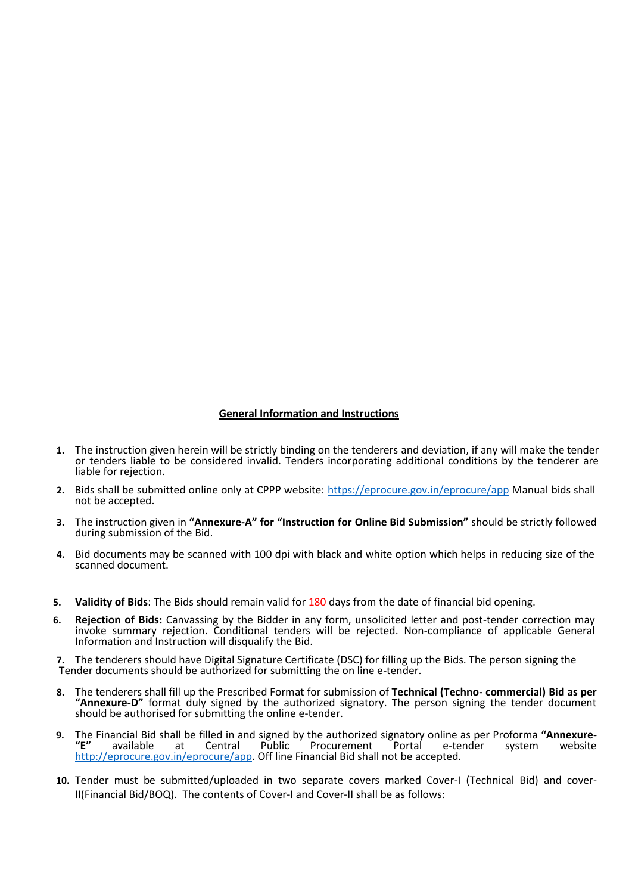## **General Information and Instructions**

- **1.** The instruction given herein will be strictly binding on the tenderers and deviation, if any will make the tender or tenders liable to be considered invalid. Tenders incorporating additional conditions by the tenderer are liable for rejection.
- **2.** Bids shall be submitted online only at CPPP website: https://eprocure.gov.in/eprocure/app Manual bids shall not be accepted.
- **3.** The instruction given in **"Annexure-A" for "Instruction for Online Bid Submission"** should be strictly followed during submission of the Bid.
- **4.** Bid documents may be scanned with 100 dpi with black and white option which helps in reducing size of the scanned document.
- **5. Validity of Bids**: The Bids should remain valid for 180 days from the date of financial bid opening.
- **6. Rejection of Bids:** Canvassing by the Bidder in any form, unsolicited letter and post-tender correction may invoke summary rejection. Conditional tenders will be rejected. Non-compliance of applicable General Information and Instruction will disqualify the Bid.

**7.** The tenderers should have Digital Signature Certificate (DSC) for filling up the Bids. The person signing the Tender documents should be authorized for submitting the on line e-tender.

- **8.** The tenderers shall fill up the Prescribed Format for submission of **Technical (Techno- commercial) Bid as per "Annexure-D"** format duly signed by the authorized signatory. The person signing the tender document should be authorised for submitting the online e-tender.
- **9.** The Financial Bid shall be filled in and signed by the authorized signatory online as per Proforma **"Annexure- "E"** available at Central Public Procurement Portal e-tender system website http://eprocure.gov.in/eprocure/app. Off line Financial Bid shall not be accepted.
- **10.** Tender must be submitted/uploaded in two separate covers marked Cover-I (Technical Bid) and cover-II(Financial Bid/BOQ). The contents of Cover-I and Cover-II shall be as follows: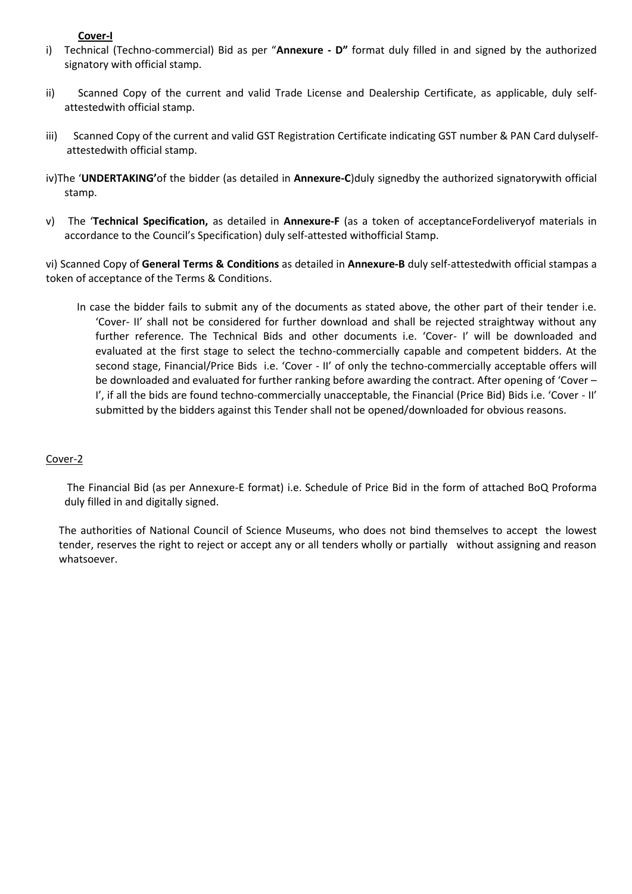## **Cover-I**

- i) Technical (Techno-commercial) Bid as per "**Annexure - D"** format duly filled in and signed by the authorized signatory with official stamp.
- ii) Scanned Copy of the current and valid Trade License and Dealership Certificate, as applicable, duly self attestedwith official stamp.
- iii) Scanned Copy of the current and valid GST Registration Certificate indicating GST number & PAN Card dulyself attestedwith official stamp.
- iv)The '**UNDERTAKING'**of the bidder (as detailed in **Annexure-C**)duly signedby the authorized signatorywith official stamp.
- v) The '**Technical Specification,** as detailed in **Annexure-F** (as a token of acceptanceFordeliveryof materials in accordance to the Council's Specification) duly self-attested withofficial Stamp.

vi) Scanned Copy of **General Terms & Conditions** as detailed in **Annexure-B** duly self-attestedwith official stampas a token of acceptance of the Terms & Conditions.

In case the bidder fails to submit any of the documents as stated above, the other part of their tender i.e. 'Cover- II' shall not be considered for further download and shall be rejected straightway without any further reference. The Technical Bids and other documents i.e. 'Cover- I' will be downloaded and evaluated at the first stage to select the techno-commercially capable and competent bidders. At the second stage, Financial/Price Bids i.e. 'Cover - II' of only the techno-commercially acceptable offers will be downloaded and evaluated for further ranking before awarding the contract. After opening of 'Cover – I', if all the bids are found techno-commercially unacceptable, the Financial (Price Bid) Bids i.e. 'Cover - II' submitted by the bidders against this Tender shall not be opened/downloaded for obvious reasons.

## Cover-2

The Financial Bid (as per Annexure-E format) i.e. Schedule of Price Bid in the form of attached BoQ Proforma duly filled in and digitally signed.

The authorities of National Council of Science Museums, who does not bind themselves to accept the lowest tender, reserves the right to reject or accept any or all tenders wholly or partially without assigning and reason whatsoever.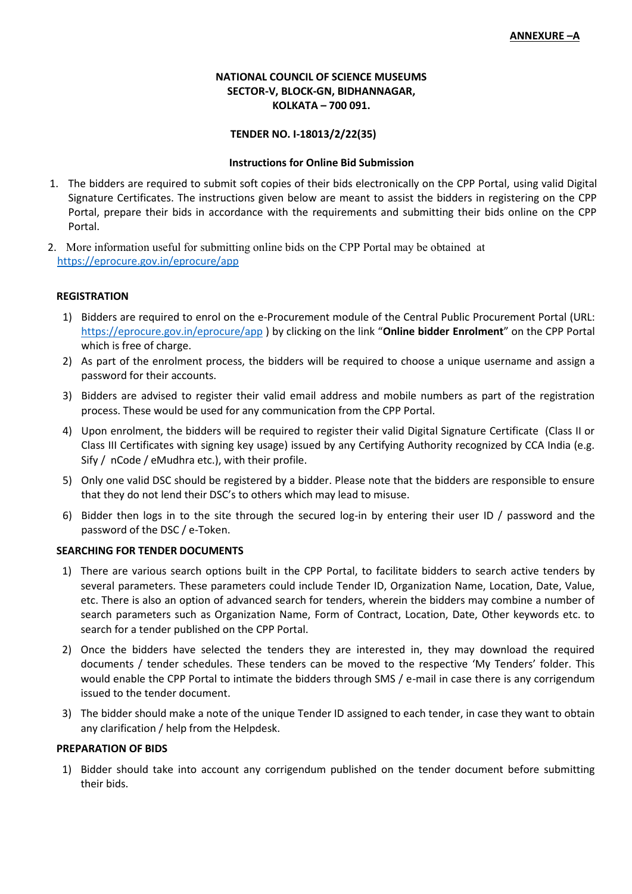## **NATIONAL COUNCIL OF SCIENCE MUSEUMS SECTOR-V, BLOCK-GN, BIDHANNAGAR, KOLKATA – 700 091.**

#### **TENDER NO. I-18013/2/22(35)**

#### **Instructions for Online Bid Submission**

- 1. The bidders are required to submit soft copies of their bids electronically on the CPP Portal, using valid Digital Signature Certificates. The instructions given below are meant to assist the bidders in registering on the CPP Portal, prepare their bids in accordance with the requirements and submitting their bids online on the CPP Portal.
- 2. More information useful for submitting online bids on the CPP Portal may be obtained at https://eprocure.gov.in/eprocure/app

#### **REGISTRATION**

- 1) Bidders are required to enrol on the e-Procurement module of the Central Public Procurement Portal (URL: https://eprocure.gov.in/eprocure/app ) by clicking on the link "**Online bidder Enrolment**" on the CPP Portal which is free of charge.
- 2) As part of the enrolment process, the bidders will be required to choose a unique username and assign a password for their accounts.
- 3) Bidders are advised to register their valid email address and mobile numbers as part of the registration process. These would be used for any communication from the CPP Portal.
- 4) Upon enrolment, the bidders will be required to register their valid Digital Signature Certificate (Class II or Class III Certificates with signing key usage) issued by any Certifying Authority recognized by CCA India (e.g. Sify / nCode / eMudhra etc.), with their profile.
- 5) Only one valid DSC should be registered by a bidder. Please note that the bidders are responsible to ensure that they do not lend their DSC's to others which may lead to misuse.
- 6) Bidder then logs in to the site through the secured log-in by entering their user ID / password and the password of the DSC / e-Token.

## **SEARCHING FOR TENDER DOCUMENTS**

- 1) There are various search options built in the CPP Portal, to facilitate bidders to search active tenders by several parameters. These parameters could include Tender ID, Organization Name, Location, Date, Value, etc. There is also an option of advanced search for tenders, wherein the bidders may combine a number of search parameters such as Organization Name, Form of Contract, Location, Date, Other keywords etc. to search for a tender published on the CPP Portal.
- 2) Once the bidders have selected the tenders they are interested in, they may download the required documents / tender schedules. These tenders can be moved to the respective 'My Tenders' folder. This would enable the CPP Portal to intimate the bidders through SMS / e-mail in case there is any corrigendum issued to the tender document.
- 3) The bidder should make a note of the unique Tender ID assigned to each tender, in case they want to obtain any clarification / help from the Helpdesk.

#### **PREPARATION OF BIDS**

1) Bidder should take into account any corrigendum published on the tender document before submitting their bids.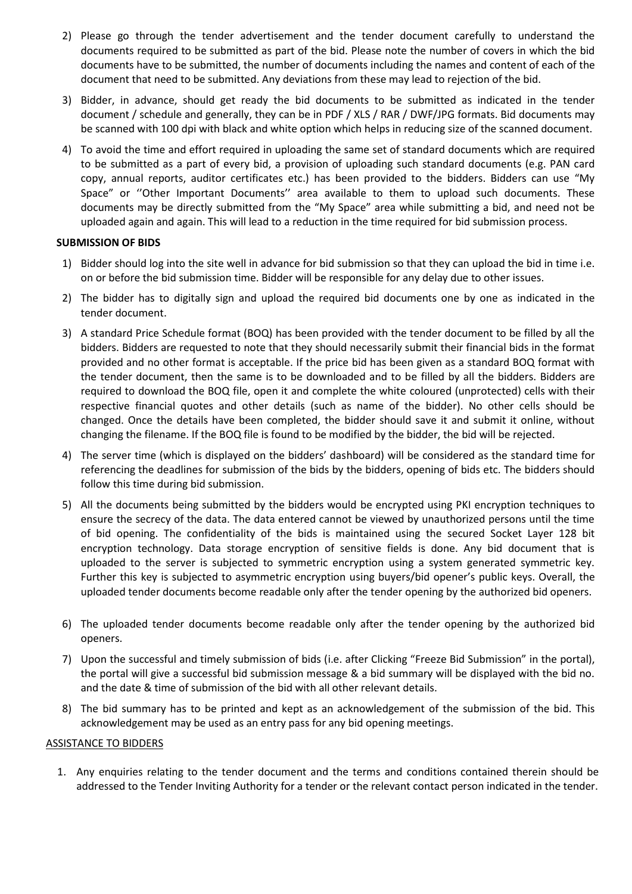- 2) Please go through the tender advertisement and the tender document carefully to understand the documents required to be submitted as part of the bid. Please note the number of covers in which the bid documents have to be submitted, the number of documents including the names and content of each of the document that need to be submitted. Any deviations from these may lead to rejection of the bid.
- 3) Bidder, in advance, should get ready the bid documents to be submitted as indicated in the tender document / schedule and generally, they can be in PDF / XLS / RAR / DWF/JPG formats. Bid documents may be scanned with 100 dpi with black and white option which helps in reducing size of the scanned document.
- 4) To avoid the time and effort required in uploading the same set of standard documents which are required to be submitted as a part of every bid, a provision of uploading such standard documents (e.g. PAN card copy, annual reports, auditor certificates etc.) has been provided to the bidders. Bidders can use "My Space" or ''Other Important Documents'' area available to them to upload such documents. These documents may be directly submitted from the "My Space" area while submitting a bid, and need not be uploaded again and again. This will lead to a reduction in the time required for bid submission process.

## **SUBMISSION OF BIDS**

- 1) Bidder should log into the site well in advance for bid submission so that they can upload the bid in time i.e. on or before the bid submission time. Bidder will be responsible for any delay due to other issues.
- 2) The bidder has to digitally sign and upload the required bid documents one by one as indicated in the tender document.
- 3) A standard Price Schedule format (BOQ) has been provided with the tender document to be filled by all the bidders. Bidders are requested to note that they should necessarily submit their financial bids in the format provided and no other format is acceptable. If the price bid has been given as a standard BOQ format with the tender document, then the same is to be downloaded and to be filled by all the bidders. Bidders are required to download the BOQ file, open it and complete the white coloured (unprotected) cells with their respective financial quotes and other details (such as name of the bidder). No other cells should be changed. Once the details have been completed, the bidder should save it and submit it online, without changing the filename. If the BOQ file is found to be modified by the bidder, the bid will be rejected.
- 4) The server time (which is displayed on the bidders' dashboard) will be considered as the standard time for referencing the deadlines for submission of the bids by the bidders, opening of bids etc. The bidders should follow this time during bid submission.
- 5) All the documents being submitted by the bidders would be encrypted using PKI encryption techniques to ensure the secrecy of the data. The data entered cannot be viewed by unauthorized persons until the time of bid opening. The confidentiality of the bids is maintained using the secured Socket Layer 128 bit encryption technology. Data storage encryption of sensitive fields is done. Any bid document that is uploaded to the server is subjected to symmetric encryption using a system generated symmetric key. Further this key is subjected to asymmetric encryption using buyers/bid opener's public keys. Overall, the uploaded tender documents become readable only after the tender opening by the authorized bid openers.
- 6) The uploaded tender documents become readable only after the tender opening by the authorized bid openers.
- 7) Upon the successful and timely submission of bids (i.e. after Clicking "Freeze Bid Submission" in the portal), the portal will give a successful bid submission message & a bid summary will be displayed with the bid no. and the date & time of submission of the bid with all other relevant details.
- 8) The bid summary has to be printed and kept as an acknowledgement of the submission of the bid. This acknowledgement may be used as an entry pass for any bid opening meetings.

## ASSISTANCE TO BIDDERS

1. Any enquiries relating to the tender document and the terms and conditions contained therein should be addressed to the Tender Inviting Authority for a tender or the relevant contact person indicated in the tender.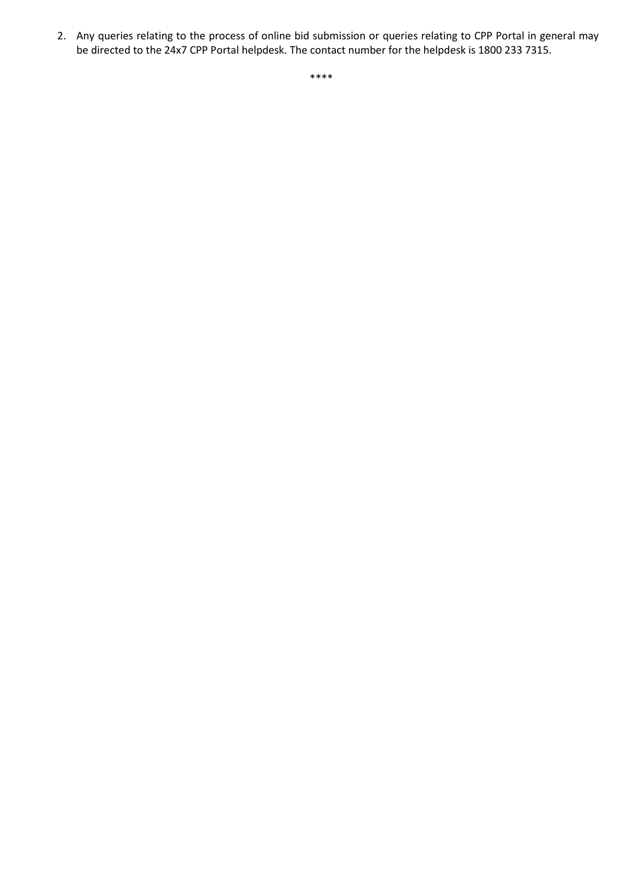2. Any queries relating to the process of online bid submission or queries relating to CPP Portal in general may be directed to the 24x7 CPP Portal helpdesk. The contact number for the helpdesk is 1800 233 7315.

\*\*\*\*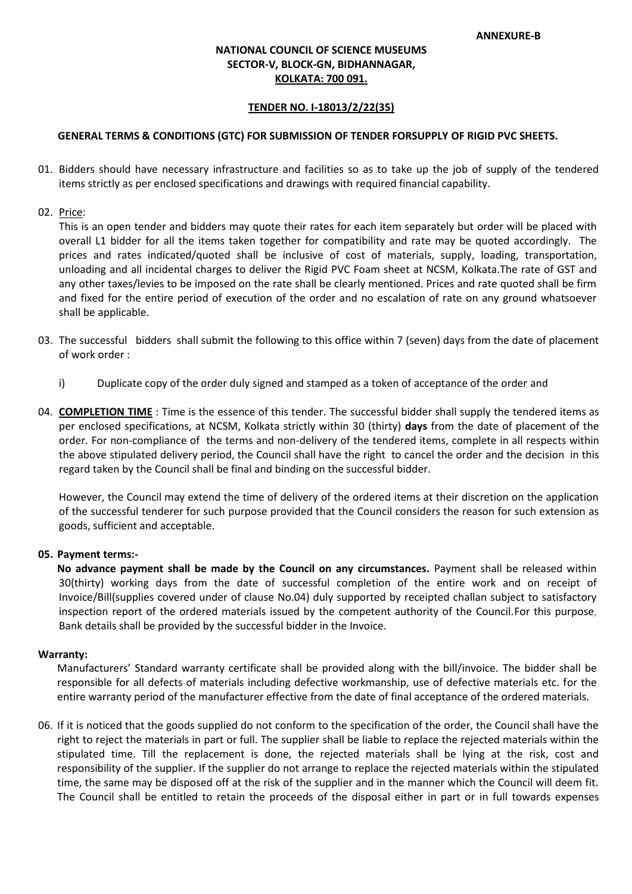## **NATIONAL COUNCIL OF SCIENCE MUSEUMS SECTOR-V, BLOCK-GN, BIDHANNAGAR, KOLKATA: 700 091.**

#### **TENDER NO. I-18013/2/22(35)**

#### **GENERAL TERMS & CONDITIONS (GTC) FOR SUBMISSION OF TENDER FORSUPPLY OF RIGID PVC SHEETS.**

- 01. Bidders should have necessary infrastructure and facilities so as to take up the job of supply of the tendered items strictly as per enclosed specifications and drawings with required financial capability.
- 02. Price:

This is an open tender and bidders may quote their rates for each item separately but order will be placed with overall L1 bidder for all the items taken together for compatibility and rate may be quoted accordingly. The prices and rates indicated/quoted shall be inclusive of cost of materials, supply, loading, transportation, unloading and all incidental charges to deliver the Rigid PVC Foam sheet at NCSM, Kolkata.The rate of GST and any other taxes/levies to be imposed on the rate shall be clearly mentioned. Prices and rate quoted shall be firm and fixed for the entire period of execution of the order and no escalation of rate on any ground whatsoever shall be applicable.

- 03. The successful bidders shall submit the following to this office within 7 (seven) days from the date of placement of work order :
	- i) Duplicate copy of the order duly signed and stamped as a token of acceptance of the order and
- 04. **COMPLETION TIME**: Time is the essence of this tender. The successful bidder shall supply the tendered items as per enclosed specifications, at NCSM, Kolkata strictly within 30 (thirty) **days** from the date of placement of the order. For non-compliance of the terms and non-delivery of the tendered items, complete in all respects within the above stipulated delivery period, the Council shall have the right to cancel the order and the decision in this regard taken by the Council shall be final and binding on the successful bidder.

However, the Council may extend the time of delivery of the ordered items at their discretion on the application of the successful tenderer for such purpose provided that the Council considers the reason for such extension as goods, sufficient and acceptable.

#### **05. Payment terms:-**

**No advance payment shall be made by the Council on any circumstances.** Payment shall be released within 30(thirty) working days from the date of successful completion of the entire work and on receipt of Invoice/Bill(supplies covered under of clause No.04) duly supported by receipted challan subject to satisfactory inspection report of the ordered materials issued by the competent authority of the Council.For this purpose, Bank details shall be provided by the successful bidder in the Invoice.

#### **Warranty:**

Manufacturers' Standard warranty certificate shall be provided along with the bill/invoice. The bidder shall be responsible for all defects of materials including defective workmanship, use of defective materials etc. for the entire warranty period of the manufacturer effective from the date of final acceptance of the ordered materials.

06. If it is noticed that the goods supplied do not conform to the specification of the order, the Council shall have the right to reject the materials in part or full. The supplier shall be liable to replace the rejected materials within the stipulated time. Till the replacement is done, the rejected materials shall be lying at the risk, cost and responsibility of the supplier. If the supplier do not arrange to replace the rejected materials within the stipulated time, the same may be disposed off at the risk of the supplier and in the manner which the Council will deem fit. The Council shall be entitled to retain the proceeds of the disposal either in part or in full towards expenses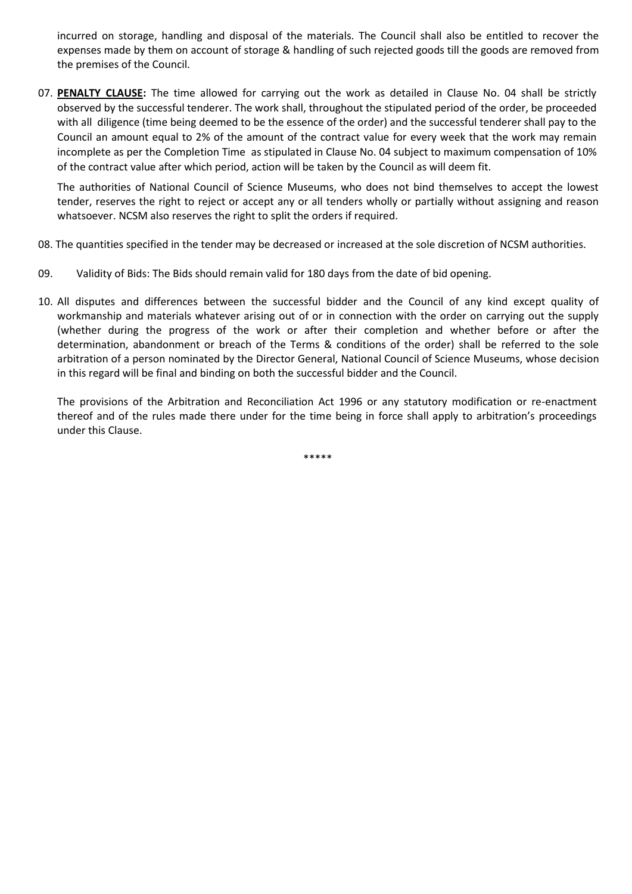incurred on storage, handling and disposal of the materials. The Council shall also be entitled to recover the expenses made by them on account of storage & handling of such rejected goods till the goods are removed from the premises of the Council.

07. **PENALTY CLAUSE:** The time allowed for carrying out the work as detailed in Clause No. 04 shall be strictly observed by the successful tenderer. The work shall, throughout the stipulated period of the order, be proceeded with all diligence (time being deemed to be the essence of the order) and the successful tenderer shall pay to the Council an amount equal to 2% of the amount of the contract value for every week that the work may remain incomplete as per the Completion Time as stipulated in Clause No. 04 subject to maximum compensation of 10% of the contract value after which period, action will be taken by the Council as will deem fit.

The authorities of National Council of Science Museums, who does not bind themselves to accept the lowest tender, reserves the right to reject or accept any or all tenders wholly or partially without assigning and reason whatsoever. NCSM also reserves the right to split the orders if required.

- 08. The quantities specified in the tender may be decreased or increased at the sole discretion of NCSM authorities.
- 09. Validity of Bids: The Bids should remain valid for 180 days from the date of bid opening.
- 10. All disputes and differences between the successful bidder and the Council of any kind except quality of workmanship and materials whatever arising out of or in connection with the order on carrying out the supply (whether during the progress of the work or after their completion and whether before or after the determination, abandonment or breach of the Terms & conditions of the order) shall be referred to the sole arbitration of a person nominated by the Director General, National Council of Science Museums, whose decision in this regard will be final and binding on both the successful bidder and the Council.

The provisions of the Arbitration and Reconciliation Act 1996 or any statutory modification or re-enactment thereof and of the rules made there under for the time being in force shall apply to arbitration's proceedings under this Clause.

\*\*\*\*\*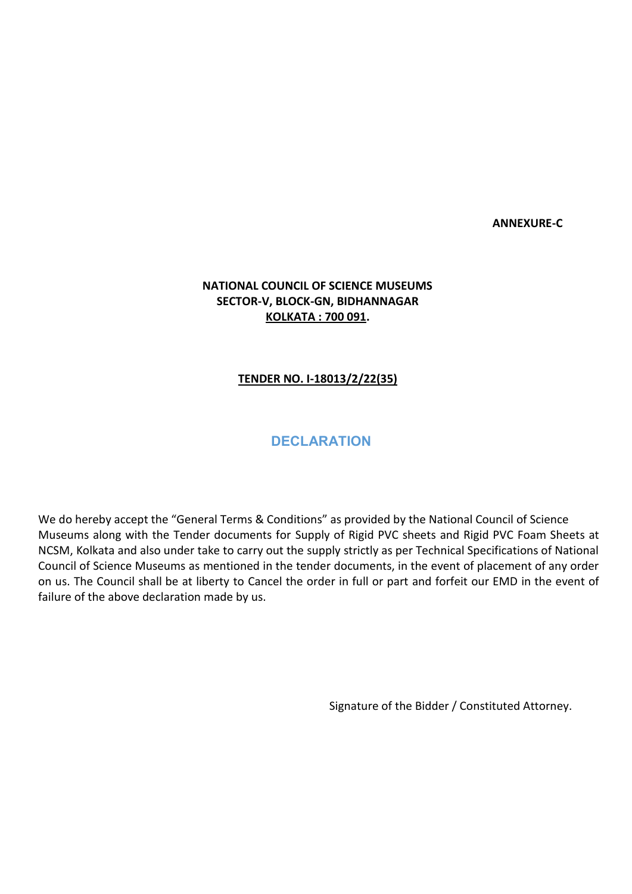**ANNEXURE-C**

# **NATIONAL COUNCIL OF SCIENCE MUSEUMS SECTOR-V, BLOCK-GN, BIDHANNAGAR KOLKATA : 700 091.**

## **TENDER NO. I-18013/2/22(35)**

# **DECLARATION**

We do hereby accept the "General Terms & Conditions" as provided by the National Council of Science Museums along with the Tender documents for Supply of Rigid PVC sheets and Rigid PVC Foam Sheets at NCSM, Kolkata and also under take to carry out the supply strictly as per Technical Specifications of National Council of Science Museums as mentioned in the tender documents, in the event of placement of any order on us. The Council shall be at liberty to Cancel the order in full or part and forfeit our EMD in the event of failure of the above declaration made by us.

Signature of the Bidder / Constituted Attorney.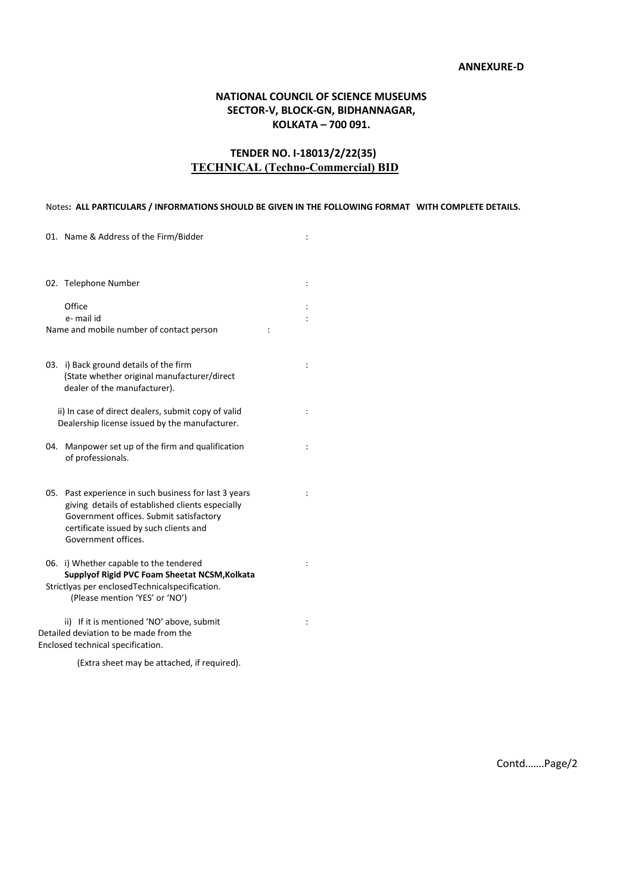## **ANNEXURE-D**

## **NATIONAL COUNCIL OF SCIENCE MUSEUMS SECTOR-V, BLOCK-GN, BIDHANNAGAR, KOLKATA – 700 091.**

## **TENDER NO. I-18013/2/22(35) TECHNICAL (Techno-Commercial) BID**

#### Notes**: ALL PARTICULARS / INFORMATIONS SHOULD BE GIVEN IN THE FOLLOWING FORMAT WITH COMPLETE DETAILS.**

| 01. Name & Address of the Firm/Bidder                                                                                                                                                                                    |                      |
|--------------------------------------------------------------------------------------------------------------------------------------------------------------------------------------------------------------------------|----------------------|
| 02. Telephone Number                                                                                                                                                                                                     | $\ddot{\phantom{a}}$ |
| Office<br>e- mail id<br>Name and mobile number of contact person                                                                                                                                                         | $\ddot{\cdot}$       |
| 03. i) Back ground details of the firm<br>(State whether original manufacturer/direct<br>dealer of the manufacturer).                                                                                                    |                      |
| ii) In case of direct dealers, submit copy of valid<br>Dealership license issued by the manufacturer.                                                                                                                    | $\ddot{\phantom{a}}$ |
| Manpower set up of the firm and qualification<br>04.<br>of professionals.                                                                                                                                                |                      |
| 05.<br>Past experience in such business for last 3 years<br>giving details of established clients especially<br>Government offices. Submit satisfactory<br>certificate issued by such clients and<br>Government offices. | $\ddot{\phantom{a}}$ |
| 06.<br>i) Whether capable to the tendered<br>Supplyof Rigid PVC Foam Sheetat NCSM, Kolkata<br>Strictlyas per enclosedTechnicalspecification.<br>(Please mention 'YES' or 'NO')                                           |                      |
| ii) If it is mentioned 'NO' above, submit<br>Detailed deviation to be made from the<br>Enclosed technical specification.                                                                                                 | ÷                    |

(Extra sheet may be attached, if required).

Contd…….Page/2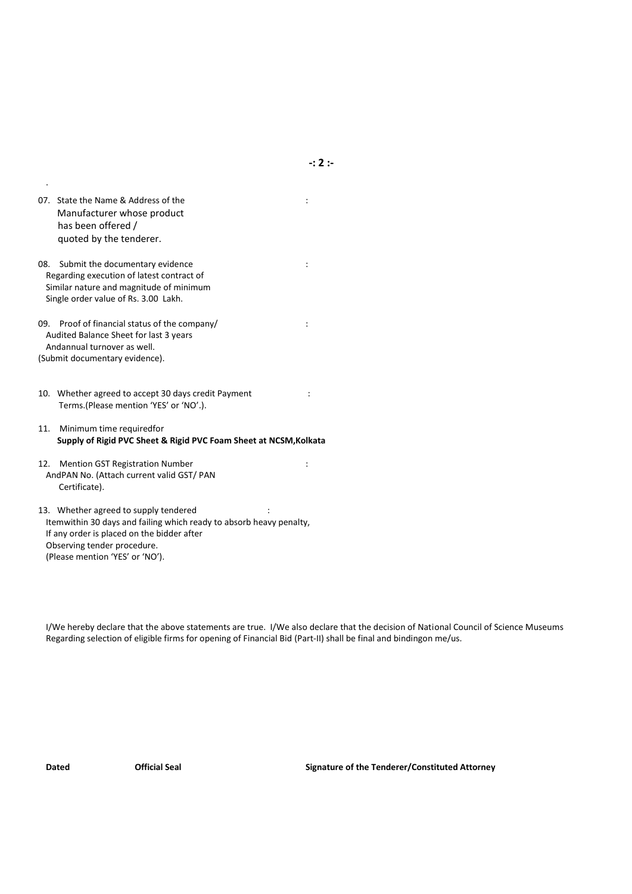| 07. State the Name & Address of the |  |
|-------------------------------------|--|
| Manufacturer whose product          |  |
| has been offered /                  |  |
| quoted by the tenderer.             |  |

.

08. Submit the documentary evidence in the state of the state of the state of the state of the state of the state of the state of the state of the state of the state of the state of the state of the state of the state of t Regarding execution of latest contract of Similar nature and magnitude of minimum Single order value of Rs. 3.00 Lakh.

09. Proof of financial status of the company/ : Audited Balance Sheet for last 3 years Andannual turnover as well. (Submit documentary evidence).

10. Whether agreed to accept 30 days credit Payment : Terms.(Please mention 'YES' or 'NO'.).

11. Minimum time requiredfor **Supply of Rigid PVC Sheet & Rigid PVC Foam Sheet at NCSM,Kolkata**

12. Mention GST Registration Number : AndPAN No. (Attach current valid GST/ PAN Certificate).

13. Whether agreed to supply tendered : Itemwithin 30 days and failing which ready to absorb heavy penalty, If any order is placed on the bidder after Observing tender procedure. (Please mention 'YES' or 'NO').

I/We hereby declare that the above statements are true. I/We also declare that the decision of National Council of Science Museums Regarding selection of eligible firms for opening of Financial Bid (Part-II) shall be final and bindingon me/us.

**Dated Official Seal Signature of the Tenderer/Constituted Attorney**